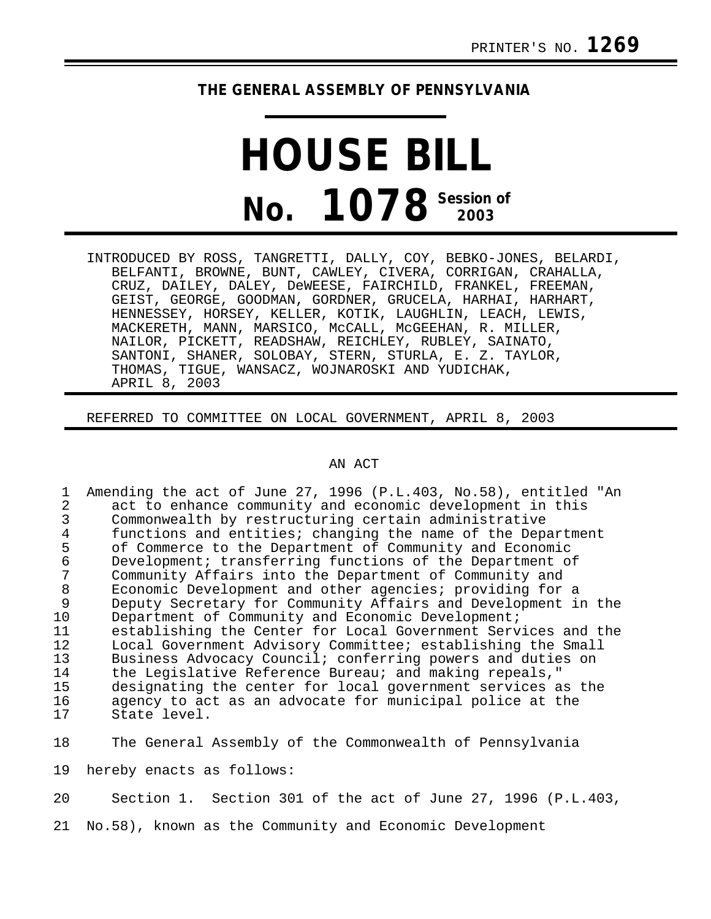## **THE GENERAL ASSEMBLY OF PENNSYLVANIA**

## **HOUSE BILL No. 1078 Session of 2003**

INTRODUCED BY ROSS, TANGRETTI, DALLY, COY, BEBKO-JONES, BELARDI, BELFANTI, BROWNE, BUNT, CAWLEY, CIVERA, CORRIGAN, CRAHALLA, CRUZ, DAILEY, DALEY, DeWEESE, FAIRCHILD, FRANKEL, FREEMAN, GEIST, GEORGE, GOODMAN, GORDNER, GRUCELA, HARHAI, HARHART, HENNESSEY, HORSEY, KELLER, KOTIK, LAUGHLIN, LEACH, LEWIS, MACKERETH, MANN, MARSICO, McCALL, McGEEHAN, R. MILLER, NAILOR, PICKETT, READSHAW, REICHLEY, RUBLEY, SAINATO, SANTONI, SHANER, SOLOBAY, STERN, STURLA, E. Z. TAYLOR, THOMAS, TIGUE, WANSACZ, WOJNAROSKI AND YUDICHAK, APRIL 8, 2003

REFERRED TO COMMITTEE ON LOCAL GOVERNMENT, APRIL 8, 2003

## AN ACT

1 Amending the act of June 27, 1996 (P.L.403, No.58), entitled "An 2<br>2 act to enhance community and economic development in this 2 act to enhance community and economic development in this<br>3 Commonwealth by restructuring certain administrative 3 Commonwealth by restructuring certain administrative<br>4 functions and entities; changing the name of the Depa 4 functions and entities; changing the name of the Department<br>5 of Commerce to the Department of Community and Economic 5 of Commerce to the Department of Community and Economic<br>6 Development; transferring functions of the Department o 6 Development; transferring functions of the Department of<br>7 Community Affairs into the Department of Community and 7 Community Affairs into the Department of Community and 8 Economic Development and other agencies; providing for a 9 Deputy Secretary for Community Affairs and Development in the<br>10 Department of Community and Economic Development; 10 Department of Community and Economic Development;<br>11 establishing the Center for Local Government Serv 11 establishing the Center for Local Government Services and the<br>12 Local Government Advisory Committee; establishing the Small 12 Local Government Advisory Committee; establishing the Small<br>13 Business Advocacy Council; conferring powers and duties on 13 Business Advocacy Council; conferring powers and duties on<br>14 the Legislative Reference Bureau; and making repeals." 14 the Legislative Reference Bureau; and making repeals,"<br>15 designating the center for local government services a 15 designating the center for local government services as the<br>16 agency to act as an advocate for municipal police at the 16 agency to act as an advocate for municipal police at the 17 state level. State level.

18 The General Assembly of the Commonwealth of Pennsylvania

19 hereby enacts as follows:

20 Section 1. Section 301 of the act of June 27, 1996 (P.L.403,

21 No.58), known as the Community and Economic Development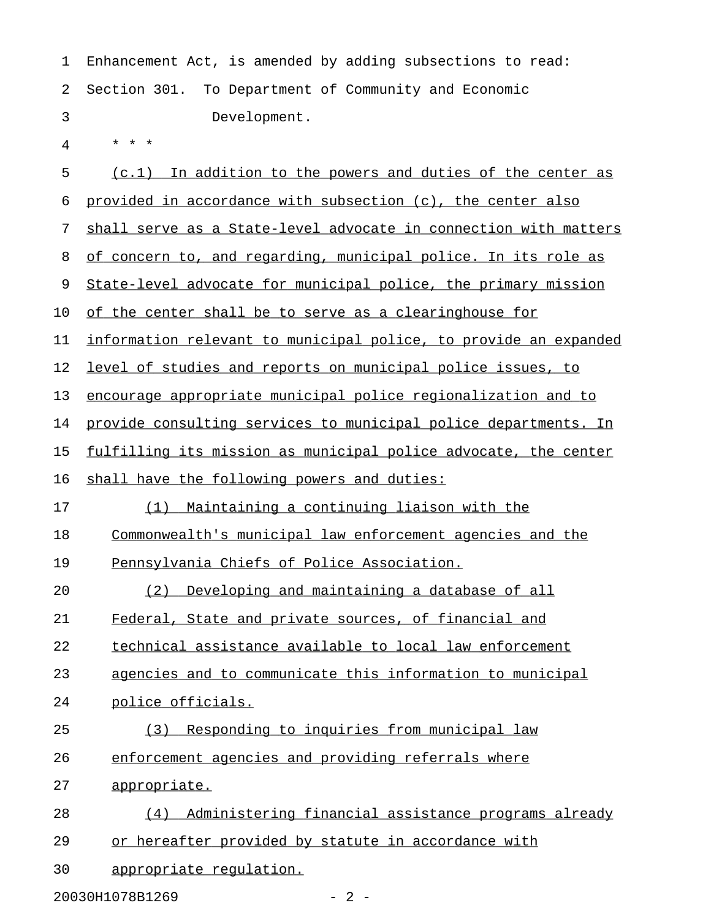| 1  | Enhancement Act, is amended by adding subsections to read:         |
|----|--------------------------------------------------------------------|
| 2  | To Department of Community and Economic<br>Section 301.            |
| 3  | Development.                                                       |
| 4  |                                                                    |
| 5  | (c.1) In addition to the powers and duties of the center as        |
| 6  | provided in accordance with subsection (c), the center also        |
| 7  | shall serve as a State-level advocate in connection with matters   |
| 8  | of concern to, and regarding, municipal police. In its role as     |
| 9  | State-level advocate for municipal police, the primary mission     |
| 10 | of the center shall be to serve as a clearinghouse for             |
| 11 | information relevant to municipal police, to provide an expanded   |
| 12 | <u>level of studies and reports on municipal police issues, to</u> |
| 13 | encourage appropriate municipal police regionalization and to      |
| 14 | provide consulting services to municipal police departments. In    |
| 15 | fulfilling its mission as municipal police advocate, the center    |
| 16 | shall have the following powers and duties:                        |
| 17 | <u>Maintaining a continuing liaison with the</u><br>(1)            |
| 18 | Commonwealth's municipal law enforcement agencies and the          |
| 19 | Pennsylvania Chiefs of Police Association.                         |
| 20 | Developing and maintaining a database of all<br>(2)                |
| 21 | Federal, State and private sources, of financial and               |
| 22 | technical assistance available to local law enforcement            |
| 23 | agencies and to communicate this information to municipal          |
| 24 | police officials.                                                  |
| 25 | Responding to inquiries from municipal law<br>(3)                  |
| 26 | enforcement agencies and providing referrals where                 |
| 27 | appropriate.                                                       |
| 28 | Administering financial assistance programs already<br>(4)         |
| 29 | or hereafter provided by statute in accordance with                |
| 30 | appropriate regulation.                                            |

20030H1078B1269 - 2 -